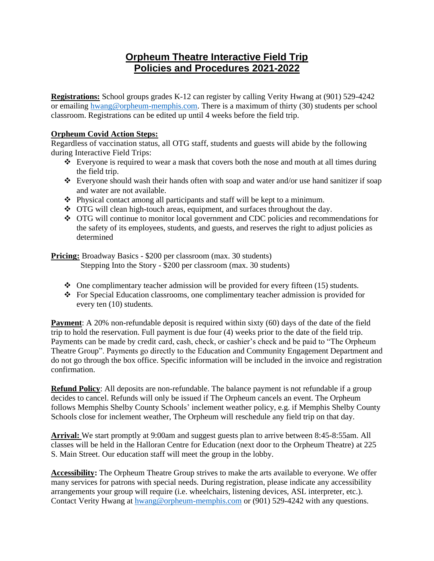## **Orpheum Theatre Interactive Field Trip Policies and Procedures 2021-2022**

**Registrations:** School groups grades K-12 can register by calling Verity Hwang at (901) 529-4242 or emailing [hwang@orpheum-memphis.com.](mailto:hwang@orpheum-memphis.com) There is a maximum of thirty (30) students per school classroom. Registrations can be edited up until 4 weeks before the field trip.

## **Orpheum Covid Action Steps:**

Regardless of vaccination status, all OTG staff, students and guests will abide by the following during Interactive Field Trips:

- ❖ Everyone is required to wear a mask that covers both the nose and mouth at all times during the field trip.
- ❖ Everyone should wash their hands often with soap and water and/or use hand sanitizer if soap and water are not available.
- ❖ Physical contact among all participants and staff will be kept to a minimum.
- ❖ OTG will clean high-touch areas, equipment, and surfaces throughout the day.
- ❖ OTG will continue to monitor local government and CDC policies and recommendations for the safety of its employees, students, and guests, and reserves the right to adjust policies as determined

**Pricing:** Broadway Basics - \$200 per classroom (max. 30 students) Stepping Into the Story - \$200 per classroom (max. 30 students)

- $\bullet$  One complimentary teacher admission will be provided for every fifteen (15) students.
- ❖ For Special Education classrooms, one complimentary teacher admission is provided for every ten (10) students.

**Payment**: A 20% non-refundable deposit is required within sixty (60) days of the date of the field trip to hold the reservation. Full payment is due four (4) weeks prior to the date of the field trip. Payments can be made by credit card, cash, check, or cashier's check and be paid to "The Orpheum Theatre Group". Payments go directly to the Education and Community Engagement Department and do not go through the box office. Specific information will be included in the invoice and registration confirmation.

**Refund Policy**: All deposits are non-refundable. The balance payment is not refundable if a group decides to cancel. Refunds will only be issued if The Orpheum cancels an event. The Orpheum follows Memphis Shelby County Schools' inclement weather policy, e.g. if Memphis Shelby County Schools close for inclement weather, The Orpheum will reschedule any field trip on that day.

**Arrival:** We start promptly at 9:00am and suggest guests plan to arrive between 8:45-8:55am. All classes will be held in the Halloran Centre for Education (next door to the Orpheum Theatre) at 225 S. Main Street. Our education staff will meet the group in the lobby.

**Accessibility:** The Orpheum Theatre Group strives to make the arts available to everyone. We offer many services for patrons with special needs. During registration, please indicate any accessibility arrangements your group will require (i.e. wheelchairs, listening devices, ASL interpreter, etc.). Contact Verity Hwang at [hwang@orpheum-memphis.com](mailto:hwang@orpheum-memphis.com) or (901) 529-4242 with any questions.